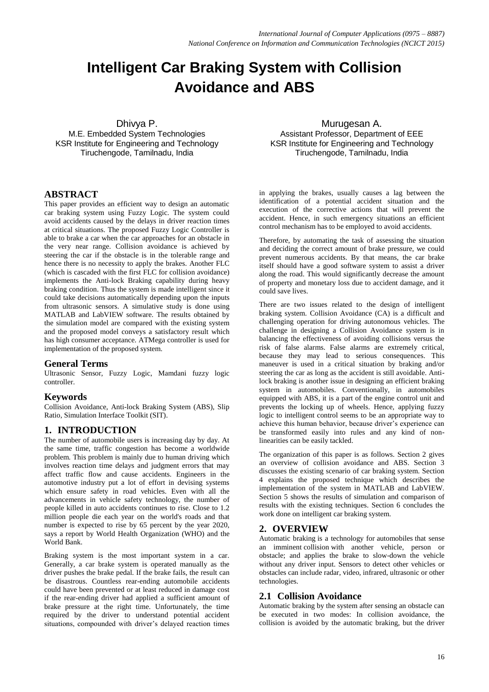# **Intelligent Car Braking System with Collision Avoidance and ABS**

Dhivya P.

M.E. Embedded System Technologies KSR Institute for Engineering and Technology Tiruchengode, Tamilnadu, India

# **ABSTRACT**

This paper provides an efficient way to design an automatic car braking system using Fuzzy Logic. The system could avoid accidents caused by the delays in driver reaction times at critical situations. The proposed Fuzzy Logic Controller is able to brake a car when the car approaches for an obstacle in the very near range. Collision avoidance is achieved by steering the car if the obstacle is in the tolerable range and hence there is no necessity to apply the brakes. Another FLC (which is cascaded with the first FLC for collision avoidance) implements the Anti-lock Braking capability during heavy braking condition. Thus the system is made intelligent since it could take decisions automatically depending upon the inputs from ultrasonic sensors. A simulative study is done using MATLAB and LabVIEW software. The results obtained by the simulation model are compared with the existing system and the proposed model conveys a satisfactory result which has high consumer acceptance. ATMega controller is used for implementation of the proposed system.

#### **General Terms**

Ultrasonic Sensor, Fuzzy Logic, Mamdani fuzzy logic controller.

## **Keywords**

Collision Avoidance, Anti-lock Braking System (ABS), Slip Ratio, Simulation Interface Toolkit (SIT).

## **1. INTRODUCTION**

The number of automobile users is increasing day by day. At the same time, traffic congestion has become a worldwide problem. This problem is mainly due to human driving which involves reaction time delays and judgment errors that may affect traffic flow and cause accidents. Engineers in the automotive industry put a lot of effort in devising systems which ensure safety in road vehicles. Even with all the advancements in vehicle safety technology, the number of people killed in auto accidents continues to rise. Close to 1.2 million people die each year on the world's roads and that number is expected to rise by 65 percent by the year 2020, says a report by World Health Organization (WHO) and the World Bank.

Braking system is the most important system in a car. Generally, a car brake system is operated manually as the driver pushes the brake pedal. If the brake fails, the result can be disastrous. Countless rear-ending automobile accidents could have been prevented or at least reduced in damage cost if the rear-ending driver had applied a sufficient amount of brake pressure at the right time. Unfortunately, the time required by the driver to understand potential accident situations, compounded with driver's delayed reaction times

Murugesan A. Assistant Professor, Department of EEE KSR Institute for Engineering and Technology Tiruchengode, Tamilnadu, India

in applying the brakes, usually causes a lag between the identification of a potential accident situation and the execution of the corrective actions that will prevent the accident. Hence, in such emergency situations an efficient control mechanism has to be employed to avoid accidents.

Therefore, by automating the task of assessing the situation and deciding the correct amount of brake pressure, we could prevent numerous accidents. By that means, the car brake itself should have a good software system to assist a driver along the road. This would significantly decrease the amount of property and monetary loss due to accident damage, and it could save lives.

There are two issues related to the design of intelligent braking system. Collision Avoidance (CA) is a difficult and challenging operation for driving autonomous vehicles. The challenge in designing a Collision Avoidance system is in balancing the effectiveness of avoiding collisions versus the risk of false alarms. False alarms are extremely critical, because they may lead to serious consequences. This maneuver is used in a critical situation by braking and/or steering the car as long as the accident is still avoidable. Antilock braking is another issue in designing an efficient braking system in automobiles. Conventionally, in automobiles equipped with ABS, it is a part of the engine control unit and prevents the locking up of wheels. Hence, applying fuzzy logic to intelligent control seems to be an appropriate way to achieve this human behavior, because driver's experience can be transformed easily into rules and any kind of nonlinearities can be easily tackled.

The organization of this paper is as follows. Section 2 gives an overview of collision avoidance and ABS. Section 3 discusses the existing scenario of car braking system. Section 4 explains the proposed technique which describes the implementation of the system in MATLAB and LabVIEW. Section 5 shows the results of simulation and comparison of results with the existing techniques. Section 6 concludes the work done on intelligent car braking system.

## **2. OVERVIEW**

Automatic braking is a technology for [automobiles](http://en.wikipedia.org/wiki/Automobiles) that sense an imminent [collision](http://en.wikipedia.org/wiki/Traffic_collision) with another vehicle, person or obstacle; and applies the brake to slow-down the vehicle without any driver input. Sensors to detect other vehicles or obstacles can include radar, video, infrared, ultrasonic or other technologies.

## **2.1 Collision Avoidance**

Automatic braking by the system after sensing an obstacle can be executed in two modes: In collision avoidance, the collision is avoided by the automatic braking, but the driver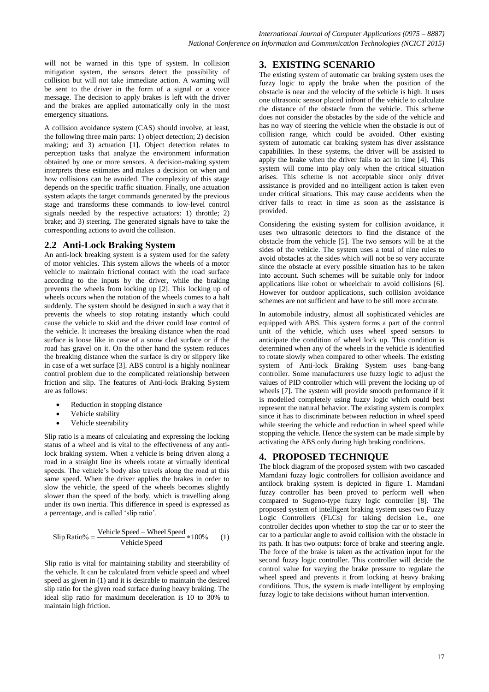will not be warned in this type of system. In collision mitigation system, the sensors detect the possibility of collision but will not take immediate action. A warning will be sent to the driver in the form of a signal or a voice message. The decision to apply brakes is left with the driver and the brakes are applied automatically only in the most emergency situations.

A collision avoidance system (CAS) should involve, at least, the following three main parts: 1) object detection; 2) decision making; and 3) actuation [1]. Object detection relates to perception tasks that analyze the environment information obtained by one or more sensors. A decision-making system interprets these estimates and makes a decision on when and how collisions can be avoided. The complexity of this stage depends on the specific traffic situation. Finally, one actuation system adapts the target commands generated by the previous stage and transforms these commands to low-level control signals needed by the respective actuators: 1) throttle; 2) brake; and 3) steering. The generated signals have to take the corresponding actions to avoid the collision.

## **2.2 Anti-Lock Braking System**

An anti-lock breaking system is a system used for the safety of motor vehicles. This system allows the wheels of a motor vehicle to maintain frictional contact with the road surface according to the inputs by the driver, while the braking prevents the wheels from locking up [2]. This locking up of wheels occurs when the rotation of the wheels comes to a halt suddenly. The system should be designed in such a way that it prevents the wheels to stop rotating instantly which could cause the vehicle to skid and the driver could lose control of the vehicle. It increases the breaking distance when the road surface is loose like in case of a snow clad surface or if the road has gravel on it. On the other hand the system reduces the breaking distance when the surface is dry or slippery like in case of a wet surface [3]. ABS control is a highly nonlinear control problem due to the complicated relationship between friction and slip. The features of Anti-lock Braking System are as follows:

- Reduction in stopping distance
- Vehicle stability
- Vehicle steerability

Slip ratio is a means of calculating and expressing the locking status of a wheel and is vital to the effectiveness of any [anti](http://en.wikipedia.org/wiki/Anti-lock_braking_system)[lock braking system.](http://en.wikipedia.org/wiki/Anti-lock_braking_system) When a [vehicle](http://en.wikipedia.org/wiki/Vehicle) is being driven along a road in a straight line its wheels rotate at virtually identical speeds. The vehicle's body also travels along the road at this same speed. When the driver applies the brakes in order to slow the vehicle, the speed of the wheels becomes slightly slower than the speed of the body, which is travelling along under its own [inertia.](http://en.wikipedia.org/wiki/Inertia) This difference in speed is expressed as a percentage, and is called 'slip ratio'.

Slip Ratio% = 
$$
\frac{\text{Vehicle Speed} - \text{Wheel Speed}}{\text{Vehicle Speed}} * 100\% \qquad (1)
$$

Slip ratio is vital for maintaining stability and steerability of the vehicle. It can be calculated from vehicle speed and wheel speed as given in (1) and it is desirable to maintain the desired slip ratio for the given road surface during heavy braking. The ideal slip ratio for maximum deceleration is 10 to 30% to maintain high friction.

## **3. EXISTING SCENARIO**

The existing system of automatic car braking system uses the fuzzy logic to apply the brake when the position of the obstacle is near and the velocity of the vehicle is high. It uses one ultrasonic sensor placed infront of the vehicle to calculate the distance of the obstacle from the vehicle. This scheme does not consider the obstacles by the side of the vehicle and has no way of steering the vehicle when the obstacle is out of collision range, which could be avoided. Other existing system of automatic car braking system has diver assistance capabilities. In these systems, the driver will be assisted to apply the brake when the driver fails to act in time [4]. This system will come into play only when the critical situation arises. This scheme is not acceptable since only driver assistance is provided and no intelligent action is taken even under critical situations. This may cause accidents when the driver fails to react in time as soon as the assistance is provided.

Considering the existing system for collision avoidance, it uses two ultrasonic detectors to find the distance of the obstacle from the vehicle [5]. The two sensors will be at the sides of the vehicle. The system uses a total of nine rules to avoid obstacles at the sides which will not be so very accurate since the obstacle at every possible situation has to be taken into account. Such schemes will be suitable only for indoor applications like robot or wheelchair to avoid collisions [6]. However for outdoor applications, such collision avoidance schemes are not sufficient and have to be still more accurate.

In automobile industry, almost all sophisticated vehicles are equipped with ABS. This system forms a part of the control unit of the vehicle, which uses wheel speed sensors to anticipate the condition of wheel lock up. This condition is determined when any of the wheels in the vehicle is identified to rotate slowly when compared to other wheels. The existing system of Anti-lock Braking System uses bang-bang controller. Some manufacturers use fuzzy logic to adjust the values of PID controller which will prevent the locking up of wheels [7]. The system will provide smooth performance if it is modelled completely using fuzzy logic which could best represent the natural behavior. The existing system is complex since it has to discriminate between reduction in wheel speed while steering the vehicle and reduction in wheel speed while stopping the vehicle. Hence the system can be made simple by activating the ABS only during high braking conditions.

# **4. PROPOSED TECHNIQUE**

The block diagram of the proposed system with two cascaded Mamdani fuzzy logic controllers for collision avoidance and antilock braking system is depicted in figure 1. Mamdani fuzzy controller has been proved to perform well when compared to Sugeno-type fuzzy logic controller [8]. The proposed system of intelligent braking system uses two Fuzzy Logic Controllers (FLCs) for taking decision i.e., one controller decides upon whether to stop the car or to steer the car to a particular angle to avoid collision with the obstacle in its path. It has two outputs: force of brake and steering angle. The force of the brake is taken as the activation input for the second fuzzy logic controller. This controller will decide the control value for varying the brake pressure to regulate the wheel speed and prevents it from locking at heavy braking conditions. Thus, the system is made intelligent by employing fuzzy logic to take decisions without human intervention.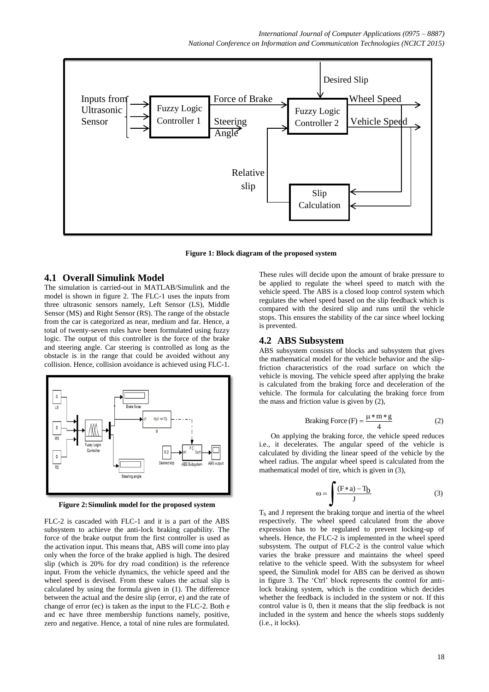

 **Figure 1: Block diagram of the proposed system**

#### **4.1 Overall Simulink Model**

The simulation is carried-out in MATLAB/Simulink and the model is shown in figure 2. The FLC-1 uses the inputs from three ultrasonic sensors namely, Left Sensor (LS), Middle Sensor (MS) and Right Sensor (RS). The range of the obstacle from the car is categorized as near, medium and far. Hence, a total of twenty-seven rules have been formulated using fuzzy logic. The output of this controller is the force of the brake and steering angle. Car steering is controlled as long as the obstacle is in the range that could be avoided without any collision. Hence, collision avoidance is achieved using FLC-1.



**Figure 2:Simulink model for the proposed system**

FLC-2 is cascaded with FLC-1 and it is a part of the ABS subsystem to achieve the anti-lock braking capability. The force of the brake output from the first controller is used as the activation input. This means that, ABS will come into play only when the force of the brake applied is high. The desired slip (which is 20% for dry road condition) is the reference input. From the vehicle dynamics, the vehicle speed and the wheel speed is devised. From these values the actual slip is calculated by using the formula given in (1). The difference between the actual and the desire slip (error, e) and the rate of change of error (ec) is taken as the input to the FLC-2. Both e and ec have three membership functions namely, positive, zero and negative. Hence, a total of nine rules are formulated.

These rules will decide upon the amount of brake pressure to be applied to regulate the wheel speed to match with the vehicle speed. The ABS is a closed loop control system which regulates the wheel speed based on the slip feedback which is compared with the desired slip and runs until the vehicle stops. This ensures the stability of the car since wheel locking is prevented.

#### **4.2 ABS Subsystem**

ABS subsystem consists of blocks and subsystem that gives the mathematical model for the vehicle behavior and the slipfriction characteristics of the road surface on which the vehicle is moving. The vehicle speed after applying the brake is calculated from the braking force and deceleration of the vehicle. The formula for calculating the braking force from the mass and friction value is given by (2),

Braking Force (F) = 
$$
\frac{\mu * m * g}{4}
$$
 (2)

On applying the braking force, the vehicle speed reduces i.e., it decelerates. The angular speed of the vehicle is calculated by dividing the linear speed of the vehicle by the wheel radius. The angular wheel speed is calculated from the mathematical model of tire, which is given in (3),

$$
\omega = \int \frac{(F * a) - T_b}{J} \tag{3}
$$

 $T<sub>b</sub>$  and J represent the braking torque and inertia of the wheel respectively. The wheel speed calculated from the above expression has to be regulated to prevent locking-up of wheels. Hence, the FLC-2 is implemented in the wheel speed subsystem. The output of FLC-2 is the control value which varies the brake pressure and maintains the wheel speed relative to the vehicle speed. With the subsystem for wheel speed, the Simulink model for ABS can be derived as shown in figure 3. The 'Ctrl' block represents the control for antilock braking system, which is the condition which decides whether the feedback is included in the system or not. If this control value is 0, then it means that the slip feedback is not included in the system and hence the wheels stops suddenly (i.e., it locks).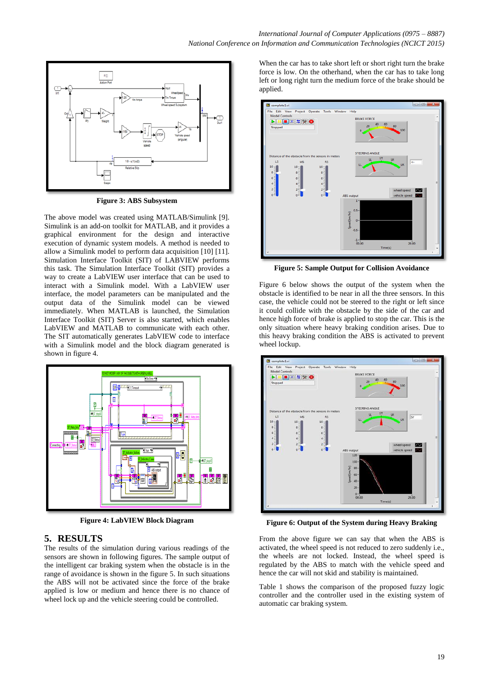

**Figure 3: ABS Subsystem**

The above model was created using MATLAB/Simulink [9]. Simulink is an add-on toolkit for MATLAB, and it provides a graphical environment for the design and interactive execution of dynamic system models. A method is needed to allow a Simulink model to perform data acquisition [10] [11]. Simulation Interface Toolkit (SIT) of LABVIEW performs this task. The Simulation Interface Toolkit (SIT) provides a way to create a LabVIEW user interface that can be used to interact with a Simulink model. With a LabVIEW user interface, the model parameters can be manipulated and the output data of the Simulink model can be viewed immediately. When MATLAB is launched, the Simulation Interface Toolkit (SIT) Server is also started, which enables LabVIEW and MATLAB to communicate with each other. The SIT automatically generates LabVIEW code to interface with a Simulink model and the block diagram generated is shown in figure 4.



**Figure 4: LabVIEW Block Diagram**

## **5. RESULTS**

The results of the simulation during various readings of the sensors are shown in following figures. The sample output of the intelligent car braking system when the obstacle is in the range of avoidance is shown in the figure 5. In such situations the ABS will not be activated since the force of the brake applied is low or medium and hence there is no chance of wheel lock up and the vehicle steering could be controlled.

When the car has to take short left or short right turn the brake force is low. On the otherhand, when the car has to take long left or long right turn the medium force of the brake should be applied.



**Figure 5: Sample Output for Collision Avoidance**

Figure 6 below shows the output of the system when the obstacle is identified to be near in all the three sensors. In this case, the vehicle could not be steered to the right or left since it could collide with the obstacle by the side of the car and hence high force of brake is applied to stop the car. This is the only situation where heavy braking condition arises. Due to this heavy braking condition the ABS is activated to prevent wheel lockup.



**Figure 6: Output of the System during Heavy Braking**

From the above figure we can say that when the ABS is activated, the wheel speed is not reduced to zero suddenly i.e., the wheels are not locked. Instead, the wheel speed is regulated by the ABS to match with the vehicle speed and hence the car will not skid and stability is maintained.

Table 1 shows the comparison of the proposed fuzzy logic controller and the controller used in the existing system of automatic car braking system.